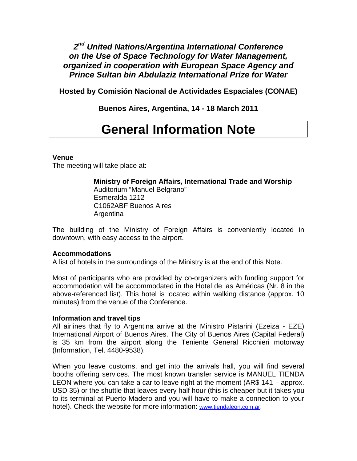### *2nd United Nations/Argentina International Conference on the Use of Space Technology for Water Management, organized in cooperation with European Space Agency and Prince Sultan bin Abdulaziz International Prize for Water*

**Hosted by Comisión Nacional de Actividades Espaciales (CONAE)** 

**Buenos Aires, Argentina, 14 - 18 March 2011** 

# **General Information Note**

#### **Venue**

The meeting will take place at:

**Ministry of Foreign Affairs, International Trade and Worship**  Auditorium "Manuel Belgrano" Esmeralda 1212 C1062ABF Buenos Aires Argentina

The building of the Ministry of Foreign Affairs is conveniently located in downtown, with easy access to the airport.

#### **Accommodations**

A list of hotels in the surroundings of the Ministry is at the end of this Note.

Most of participants who are provided by co-organizers with funding support for accommodation will be accommodated in the Hotel de las Américas (Nr. 8 in the above-referenced list). This hotel is located within walking distance (approx. 10 minutes) from the venue of the Conference.

#### **Information and travel tips**

All airlines that fly to Argentina arrive at the Ministro Pistarini (Ezeiza - EZE) International Airport of Buenos Aires. The City of Buenos Aires (Capital Federal) is 35 km from the airport along the Teniente General Ricchieri motorway (Information, Tel. 4480-9538).

When you leave customs, and get into the arrivals hall, you will find several booths offering services. The most known transfer service is MANUEL TIENDA LEON where you can take a car to leave right at the moment (AR\$ 141 – approx. USD 35) or the shuttle that leaves every half hour (this is cheaper but it takes you to its terminal at Puerto Madero and you will have to make a connection to your hotel). Check the website for more information: [www.tiendaleon.com.ar](http://www.tiendaleon.com.ar/).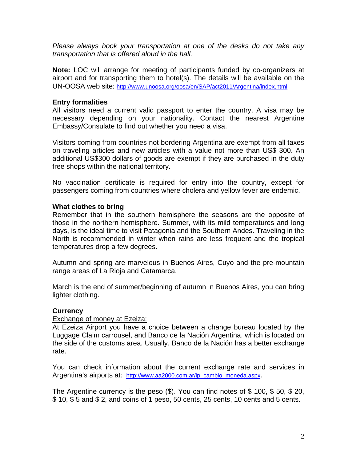*Please always book your transportation at one of the desks do not take any transportation that is offered aloud in the hall.* 

**Note:** LOC will arrange for meeting of participants funded by co-organizers at airport and for transporting them to hotel(s). The details will be available on the UN-OOSA web site:<http://www.unoosa.org/oosa/en/SAP/act2011/Argentina/index.html>

#### **Entry formalities**

All visitors need a current valid passport to enter the country. A visa may be necessary depending on your nationality. Contact the nearest Argentine Embassy/Consulate to find out whether you need a visa.

Visitors coming from countries not bordering Argentina are exempt from all taxes on traveling articles and new articles with a value not more than US\$ 300. An additional US\$300 dollars of goods are exempt if they are purchased in the duty free shops within the national territory.

No vaccination certificate is required for entry into the country, except for passengers coming from countries where cholera and yellow fever are endemic.

#### **What clothes to bring**

Remember that in the southern hemisphere the seasons are the opposite of those in the northern hemisphere. Summer, with its mild temperatures and long days, is the ideal time to visit Patagonia and the Southern Andes. Traveling in the North is recommended in winter when rains are less frequent and the tropical temperatures drop a few degrees.

Autumn and spring are marvelous in Buenos Aires, Cuyo and the pre-mountain range areas of La Rioja and Catamarca.

March is the end of summer/beginning of autumn in Buenos Aires, you can bring lighter clothing.

#### **Currency**

#### Exchange of money at Ezeiza:

At Ezeiza Airport you have a choice between a change bureau located by the Luggage Claim carrousel, and Banco de la Nación Argentina, which is located on the side of the customs area. Usually, Banco de la Nación has a better exchange rate.

You can check information about the current exchange rate and services in Argentina's airports at: [http://www.aa2000.com.ar/ip\\_cambio\\_moneda.aspx.](http://www.aa2000.com.ar/ip_cambio_moneda.aspx)

The Argentine currency is the peso (\$). You can find notes of \$ 100, \$ 50, \$ 20, \$ 10, \$ 5 and \$ 2, and coins of 1 peso, 50 cents, 25 cents, 10 cents and 5 cents.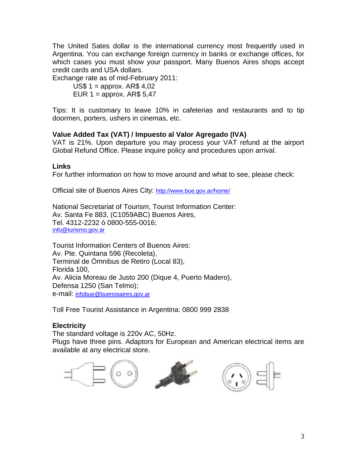The United Sates dollar is the international currency most frequently used in Argentina. You can exchange foreign currency in banks or exchange offices, for which cases you must show your passport. Many Buenos Aires shops accept credit cards and USA dollars.

Exchange rate as of mid-February 2011:

US\$  $1 =$  approx. AR\$ 4,02 EUR  $1 =$  approx. AR\$ 5,47

Tips: It is customary to leave 10% in cafeterias and restaurants and to tip doormen, porters, ushers in cinemas, etc.

#### **Value Added Tax (VAT) / Impuesto al Valor Agregado (IVA)**

VAT is 21%. Upon departure you may process your VAT refund at the airport Global Refund Office. Please inquire policy and procedures upon arrival.

#### **Links**

For further information on how to move around and what to see, please check:

Official site of Buenos Aires City: http://www.bue.gov.ar/home/

National Secretariat of Tourism, Tourist Information Center: Av. Santa Fe 883, (C1059ABC) Buenos Aires, Tel. 4312-2232 ó 0800-555-0016; [info@turismo.gov.ar](mailto:info@turismo.gov.ar) 

Tourist Information Centers of Buenos Aires: Av. Pte. Quintana 596 (Recoleta), Terminal de Ómnibus de Retiro (Local 83), Florida 100, Av. Alicia Moreau de Justo 200 (Dique 4, Puerto Madero), Defensa 1250 (San Telmo); e-mail: [infobue@buenosaires.gov.ar](mailto:infobue@buenosaires.gov.ar)

Toll Free Tourist Assistance in Argentina: 0800 999 2838

#### **Electricity**

The standard voltage is 220v AC, 50Hz. Plugs have three pins. Adaptors for European and American electrical items are available at any electrical store.





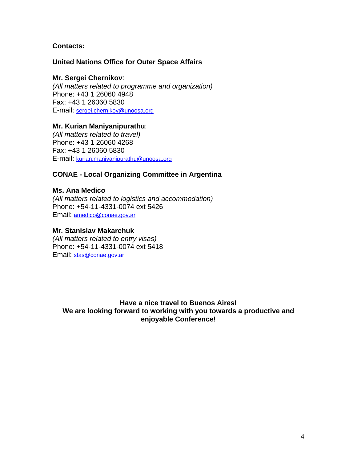#### **Contacts:**

#### **United Nations Office for Outer Space Affairs**

#### **Mr. Sergei Chernikov**:

*(All matters related to programme and organization)*  Phone: +43 1 26060 4948 Fax: +43 1 26060 5830 E-mail: [sergei.chernikov@unoosa.org](mailto:sergei.chernikov@unoosa.org)

#### **Mr. Kurian Maniyanipurathu**:

*(All matters related to travel)*  Phone: +43 1 26060 4268 Fax: +43 1 26060 5830 E-mail: [kurian.maniyanipurathu@unoosa.org](mailto:kurian.maniyanipurathu@unoosa.org)

#### **CONAE - Local Organizing Committee in Argentina**

#### **Ms. Ana Medico**

*(All matters related to logistics and accommodation)*  Phone: +54-11-4331-0074 ext 5426 Email: [amedico@conae.gov.ar](mailto:amedico@conae.gov.ar)

#### **Mr. Stanislav Makarchuk**

*(All matters related to entry visas)*  Phone: +54-11-4331-0074 ext 5418 Email: [stas@conae.gov.ar](mailto:stas@conae.gov.ar)

**Have a nice travel to Buenos Aires! We are looking forward to working with you towards a productive and enjoyable Conference!**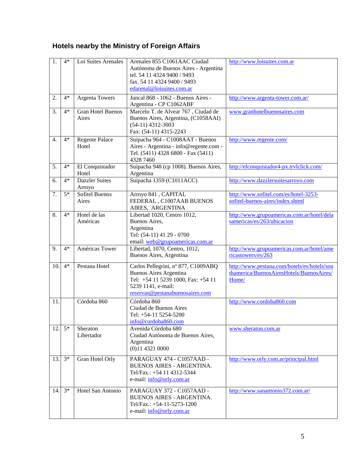## **Hotels nearby the Ministry of Foreign Affairs**

| 1.               | $4*$ | Loi Suites Arenales               | Arenales 855 C1061AAC Ciudad<br>Autónoma de Buenos Aires - Argentina<br>tel. 54 11 4324 9400 / 9493<br>fax. 54 11 4324 9400 / 9493<br>edarenal@loisuites.com.ar     | http://www.loisuites.com.ar                                                                      |
|------------------|------|-----------------------------------|---------------------------------------------------------------------------------------------------------------------------------------------------------------------|--------------------------------------------------------------------------------------------------|
| 2.               | $4*$ | <b>Argenta Towers</b>             | Juncal 868 - 1062 - Buenos Aires -<br>Argentina - CP C1062ABF                                                                                                       | http://www.argenta-tower.com.ar/                                                                 |
| 3.               | $4*$ | <b>Gran Hotel Buenos</b><br>Aires | Marcelo T. de Alvear 767, Ciudad de<br>Buenos Aires, Argentina, (C1058AAI)<br>$(54-11)$ 4312-3003<br>Fax: (54-11) 4315-2243                                         | www.granhotelbuenosaires.com                                                                     |
| $\overline{4}$ . | $4*$ | <b>Regente Palace</b><br>Hotel    | Suipacha 964 - C1008AAT - Buenos<br>Aires - Argentina - info@regente.com -<br>Tel. (5411) 4328 6800 - Fax (5411)<br>4328 7460                                       | http://www.regente.com/                                                                          |
| 5.               | $4*$ | El Conquistador<br>Hotel          | Suipacha 948 (cp 1008). Buenos Aires,<br>Argentina                                                                                                                  | http://elconquistador4-px.trvlclick.com/                                                         |
| 6.               | $4*$ | <b>Dazzler Suites</b><br>Arroyo   | Suipacha 1359 (C1011ACC)                                                                                                                                            | http://www.dazzlersuitesarroyo.com                                                               |
| 7.               | $5*$ | <b>Sofitel Buenos</b><br>Aires    | Arroyo 841, CAPITAL<br>FEDERAL, C1007AAB BUENOS<br>AIRES, ARGENTINA                                                                                                 | http://www.sofitel.com/es/hotel-3253-<br>sofitel-buenos-aires/index.shtml                        |
| 8.               | $4*$ | Hotel de las<br>Américas          | Libertad 1020, Centro 1012,<br>Buenos Aires,<br>Argentina<br>Tel: (54-11) 41 29 - 0700<br>email: web@grupoamericas.com.ar                                           | http://www.grupoamericas.com.ar/hotel/dela<br>samericas/es/263/ubicacion                         |
| 9.               | $4*$ | Américas Tower                    | Libertad, 1070, Centro, 1012,<br>Buenos Aires, Argentina                                                                                                            | http://www.grupoamericas.com.ar/hotel/ame<br>ricastowers/es/263                                  |
| 10.              | $4*$ | Pestana Hotel                     | Carlos Pellegrini, nº 877, C1009ABQ<br><b>Buenos Aires Argentina</b><br>Tel: +54 11 5239 1000, Fax: +54 11<br>5239 1141, e-mail:<br>reservas@pestanabuenosaires.com | http://www.pestana.com/hotels/es/hotels/sou<br>thamerica/BuenosAiresHotels/BuenosAires/<br>Home/ |
| 11.              |      | Córdoba 860                       | Córdoba 860<br>Ciudad de Buenos Aires<br>Tel: +54-11 5254-5200<br>info@cordoba860.com                                                                               | http://www.cordoba860.com                                                                        |
| 12.              | $5*$ | Sheraton<br>Libertador            | Avenida Córdoba 680<br>Ciudad Autónoma de Buenos Aires,<br>Argentina<br>$(0)11$ 4321 0000                                                                           | www.sheraton.com.ar                                                                              |
| 13.              | $3*$ | Gran Hotel Orly                   | PARAGUAY 474 - C1057AAD -<br><b>BUENOS AIRES - ARGENTINA.</b><br>Tel/Fax.: +54 11 4312-5344<br>e-mail: info@orly.com.ar                                             | http://www.orly.com.ar/principal.html                                                            |
| 14.              | $3*$ | Hotel San Antonio                 | PARAGUAY 372 - C1057AAD -<br><b>BUENOS AIRES - ARGENTINA.</b><br>Tel/Fax.: $+54-11-5273-1200$<br>e-mail: info@orly.com.ar                                           | http://www.sanantonio372.com.ar/                                                                 |